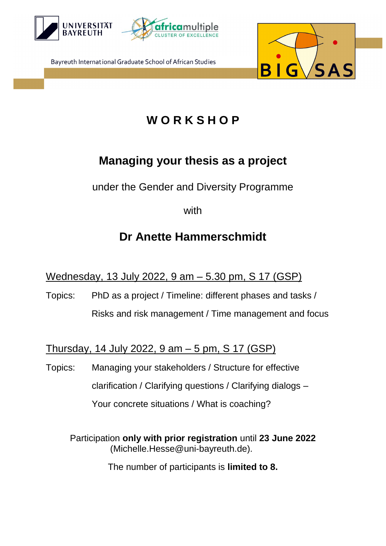



Bayreuth International Graduate School of African Studies



## **W O R K S H O P**

## **Managing your thesis as a project**

under the Gender and Diversity Programme

with

## **Dr Anette Hammerschmidt**

Wednesday, 13 July 2022, 9 am – 5.30 pm, S 17 (GSP)

Topics: PhD as a project / Timeline: different phases and tasks / Risks and risk management / Time management and focus

Thursday, 14 July 2022, 9 am – 5 pm, S 17 (GSP)

Topics: Managing your stakeholders / Structure for effective clarification / Clarifying questions / Clarifying dialogs – Your concrete situations / What is coaching?

Participation **only with prior registration** until **23 June 2022** (Michelle.Hesse@uni-bayreuth.de).

The number of participants is **limited to 8.**